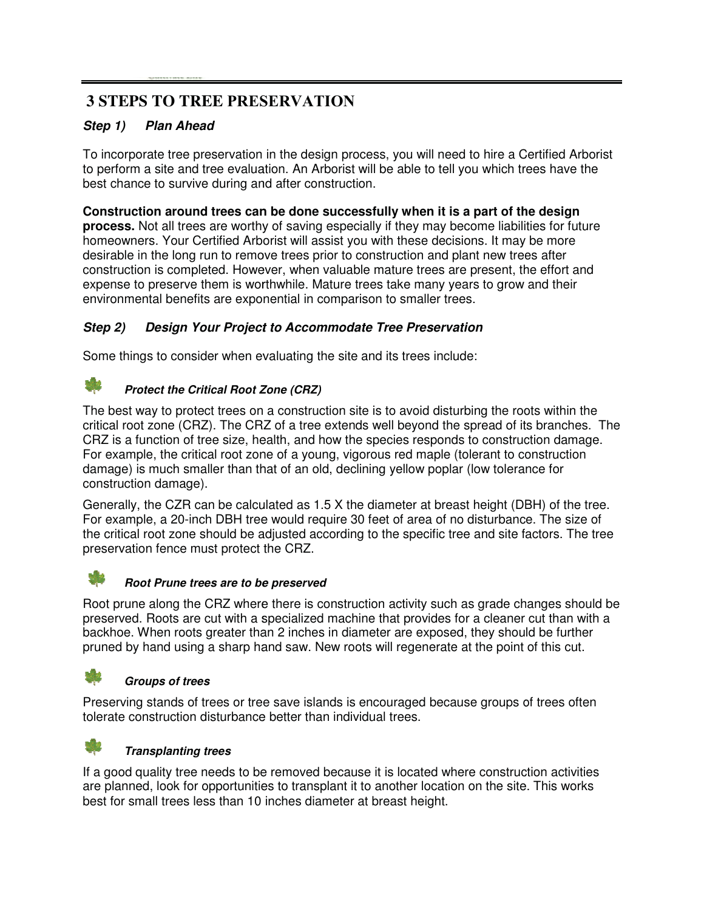# **3 STEPS TO TREE PRESERVATION**

### *Step 1) Plan Ahead*

To incorporate tree preservation in the design process, you will need to hire a Certified Arborist to perform a site and tree evaluation. An Arborist will be able to tell you which trees have the best chance to survive during and after construction.

Construction around trees can be done successfully when it is a part of the design process. Not all trees are worthy of saving especially if they may become liabilities for future homeowners. Your Certified Arborist will assist you with these decisions. It may be more desirable in the long run to remove trees prior to construction and plant new trees after construction is completed. However, when valuable mature trees are present, the effort and expense to preserve them is worthwhile. Mature trees take many years to grow and their environmental benefits are exponential in comparison to smaller trees.

### *Step 2) Design Your Project t to Accommodate Tree Preservation*

Some things to consider when evaluating the site and its trees include:

#### *Protect the Critical Root Z Zone (CRZ)*

The best way to protect trees on a construction site is to avoid disturbing the roots within the critical root zone (CRZ). The CRZ of a tree extends well beyond the spread of its branches. The CRZ is a function of tree size, health, and how the species responds to construction damage. For example, the critical root zone of a young, vigorous red maple (tolerant to construction damage) is much smaller than that of an old, declining yellow poplar (low tolerance for construction damage).

Generally, the CZR can be calculated as 1.5 X the diameter at breast height (DBH) of the tree. For example, a 20-inch DBH tree would require 30 feet of area of no disturbance. The size of the critical root zone should be adjusted according to the specific tree and site factors. The tree preservation fence must protect the CRZ.



# **Root Prune trees are to be preserved**

Root prune along the CRZ where there is construction activity such as grade changes should be preserved. Roots are cut with a specialized machine that provides for a cleaner cut than with a backhoe. When roots greater than 2 inches in diameter are exposed, they should be further pruned by hand using a sharp hand saw. New roots will regenerate at the point of this cut.

#### *Groups of trees*

Preserving stands of trees or tree save islands is encouraged because groups of trees often tolerate construction disturbance better than individual trees.



#### *Transplanting trees*

If a good quality tree needs to be removed because it is located where construction activities are planned, look for opportunities to transplant it to another location on the site. This works best for small trees less than 10 inches diameter at breast height.